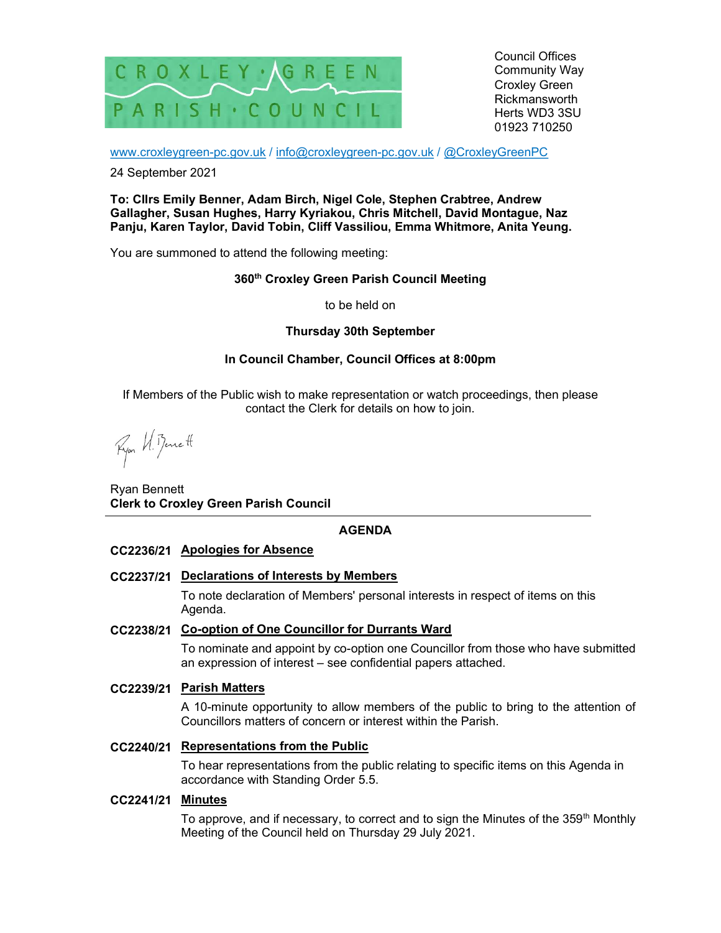

Council Offices Community Way Croxley Green Rickmansworth Herts WD3 3SU 01923 710250

www.croxleygreen-pc.gov.uk / info@croxleygreen-pc.gov.uk / @CroxleyGreenPC

### 24 September 2021

To: Cllrs Emily Benner, Adam Birch, Nigel Cole, Stephen Crabtree, Andrew Gallagher, Susan Hughes, Harry Kyriakou, Chris Mitchell, David Montague, Naz Panju, Karen Taylor, David Tobin, Cliff Vassiliou, Emma Whitmore, Anita Yeung.

You are summoned to attend the following meeting:

# 360<sup>th</sup> Croxley Green Parish Council Meeting

to be held on

# Thursday 30th September

# In Council Chamber, Council Offices at 8:00pm

If Members of the Public wish to make representation or watch proceedings, then please contact the Clerk for details on how to join.

Ryon U. Bennett

Ryan Bennett Clerk to Croxley Green Parish Council

# AGENDA

# CC2236/21 Apologies for Absence

# CC2237/21 Declarations of Interests by Members

To note declaration of Members' personal interests in respect of items on this Agenda.

# CC2238/21 Co-option of One Councillor for Durrants Ward

To nominate and appoint by co-option one Councillor from those who have submitted an expression of interest – see confidential papers attached.

### CC2239/21 Parish Matters

A 10-minute opportunity to allow members of the public to bring to the attention of Councillors matters of concern or interest within the Parish.

### CC2240/21 Representations from the Public

To hear representations from the public relating to specific items on this Agenda in accordance with Standing Order 5.5.

### CC2241/21 Minutes

To approve, and if necessary, to correct and to sign the Minutes of the  $359<sup>th</sup>$  Monthly Meeting of the Council held on Thursday 29 July 2021.